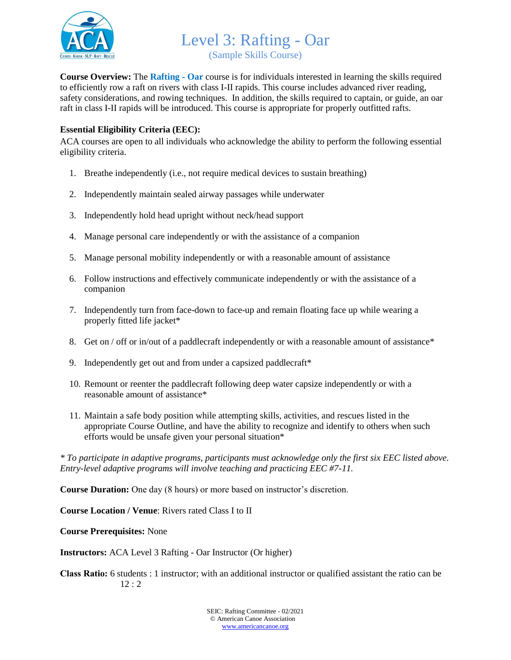

Level 3: Rafting - Oar (Sample Skills Course)

**Course Overview:** The **Rafting - Oar** course is for individuals interested in learning the skills required to efficiently row a raft on rivers with class I-II rapids. This course includes advanced river reading, safety considerations, and rowing techniques. In addition, the skills required to captain, or guide, an oar raft in class I-II rapids will be introduced. This course is appropriate for properly outfitted rafts.

## **Essential Eligibility Criteria (EEC):**

ACA courses are open to all individuals who acknowledge the ability to perform the following essential eligibility criteria.

- 1. Breathe independently (i.e., not require medical devices to sustain breathing)
- 2. Independently maintain sealed airway passages while underwater
- 3. Independently hold head upright without neck/head support
- 4. Manage personal care independently or with the assistance of a companion
- 5. Manage personal mobility independently or with a reasonable amount of assistance
- 6. Follow instructions and effectively communicate independently or with the assistance of a companion
- 7. Independently turn from face-down to face-up and remain floating face up while wearing a properly fitted life jacket\*
- 8. Get on / off or in/out of a paddlecraft independently or with a reasonable amount of assistance\*
- 9. Independently get out and from under a capsized paddlecraft\*
- 10. Remount or reenter the paddlecraft following deep water capsize independently or with a reasonable amount of assistance\*
- 11. Maintain a safe body position while attempting skills, activities, and rescues listed in the appropriate Course Outline, and have the ability to recognize and identify to others when such efforts would be unsafe given your personal situation\*

*\* To participate in adaptive programs, participants must acknowledge only the first six EEC listed above. Entry-level adaptive programs will involve teaching and practicing EEC #7-11.*

**Course Duration:** One day (8 hours) or more based on instructor's discretion.

**Course Location / Venue**: Rivers rated Class I to II

**Course Prerequisites:** None

**Instructors:** ACA Level 3 Rafting - Oar Instructor (Or higher)

**Class Ratio:** 6 students : 1 instructor; with an additional instructor or qualified assistant the ratio can be 12 : 2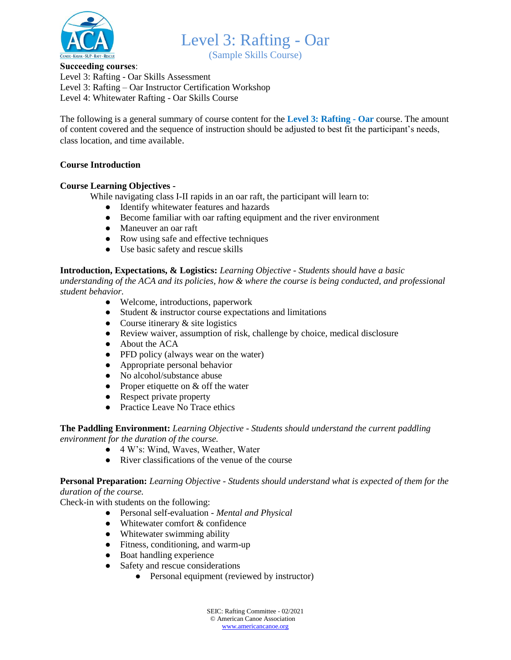

(Sample Skills Course)

## **Succeeding courses**:

Level 3: Rafting - Oar Skills Assessment Level 3: Rafting – Oar Instructor Certification Workshop Level 4: Whitewater Rafting - Oar Skills Course

The following is a general summary of course content for the **Level 3: Rafting - Oar** course. The amount of content covered and the sequence of instruction should be adjusted to best fit the participant's needs, class location, and time available.

## **Course Introduction**

## **Course Learning Objectives -**

While navigating class I-II rapids in an oar raft, the participant will learn to:

- Identify whitewater features and hazards
- Become familiar with oar rafting equipment and the river environment
- Maneuver an oar raft
- Row using safe and effective techniques
- Use basic safety and rescue skills

**Introduction, Expectations, & Logistics:** *Learning Objective - Students should have a basic understanding of the ACA and its policies, how & where the course is being conducted, and professional student behavior.*

- Welcome, introductions, paperwork
- Student & instructor course expectations and limitations
- Course itinerary  $&$  site logistics
- Review waiver, assumption of risk, challenge by choice, medical disclosure
- About the ACA
- PFD policy (always wear on the water)
- Appropriate personal behavior
- No alcohol/substance abuse
- Proper etiquette on  $&$  off the water
- Respect private property
- Practice Leave No Trace ethics

**The Paddling Environment:** *Learning Objective - Students should understand the current paddling environment for the duration of the course.*

- 4 W's: Wind, Waves, Weather, Water
- River classifications of the venue of the course

**Personal Preparation:** *Learning Objective - Students should understand what is expected of them for the duration of the course.*

Check-in with students on the following:

- Personal self-evaluation *Mental and Physical*
- Whitewater comfort & confidence
- Whitewater swimming ability
- Fitness, conditioning, and warm-up
- Boat handling experience
- Safety and rescue considerations
	- Personal equipment (reviewed by instructor)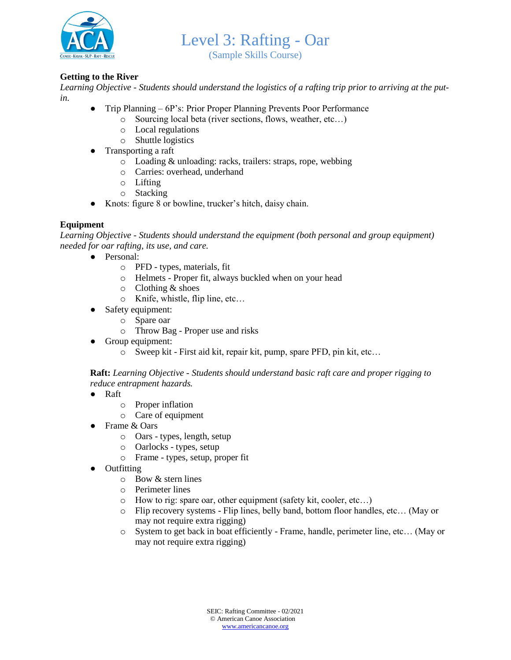

(Sample Skills Course)

## **Getting to the River**

*Learning Objective - Students should understand the logistics of a rafting trip prior to arriving at the putin.*

- Trip Planning 6P's: Prior Proper Planning Prevents Poor Performance
	- o Sourcing local beta (river sections, flows, weather, etc…)
		- o Local regulations
		- o Shuttle logistics
- Transporting a raft
	- o Loading & unloading: racks, trailers: straps, rope, webbing
	- o Carries: overhead, underhand
	- o Lifting
	- o Stacking
- Knots: figure 8 or bowline, trucker's hitch, daisy chain.

## **Equipment**

*Learning Objective - Students should understand the equipment (both personal and group equipment) needed for oar rafting, its use, and care.*

- Personal:
	- o PFD types, materials, fit
	- o Helmets Proper fit, always buckled when on your head
	- o Clothing & shoes
	- o Knife, whistle, flip line, etc…
- Safety equipment:
	- o Spare oar
	- o Throw Bag Proper use and risks
	- Group equipment:
		- o Sweep kit First aid kit, repair kit, pump, spare PFD, pin kit, etc…

**Raft:** *Learning Objective - Students should understand basic raft care and proper rigging to reduce entrapment hazards.*

- Raft
	- o Proper inflation
	- o Care of equipment
- Frame & Oars
	- o Oars types, length, setup
	- o Oarlocks types, setup
	- o Frame types, setup, proper fit
- Outfitting
	- o Bow & stern lines
	- o Perimeter lines
	- o How to rig: spare oar, other equipment (safety kit, cooler, etc…)
	- o Flip recovery systems Flip lines, belly band, bottom floor handles, etc… (May or may not require extra rigging)
	- o System to get back in boat efficiently Frame, handle, perimeter line, etc… (May or may not require extra rigging)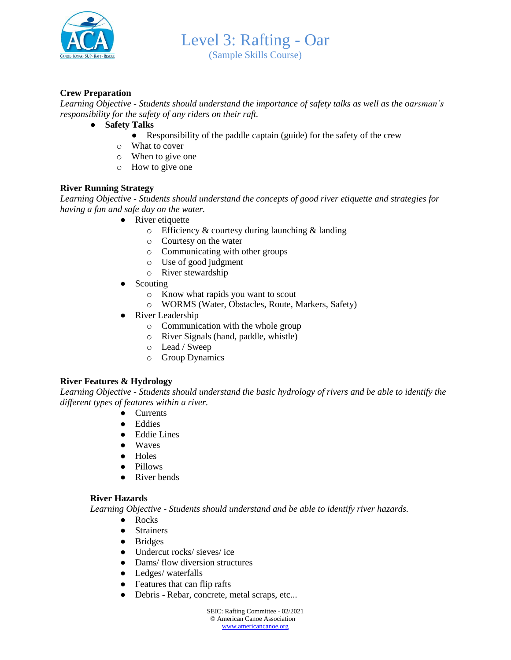

(Sample Skills Course)

## **Crew Preparation**

*Learning Objective - Students should understand the importance of safety talks as well as the oarsman's responsibility for the safety of any riders on their raft.*

- **Safety Talks**
	- Responsibility of the paddle captain (guide) for the safety of the crew
	- o What to cover
	- o When to give one
	- o How to give one

## **River Running Strategy**

*Learning Objective - Students should understand the concepts of good river etiquette and strategies for having a fun and safe day on the water.*

- River etiquette
	- $\circ$  Efficiency & courtesy during launching & landing
	- o Courtesy on the water
	- o Communicating with other groups
	- o Use of good judgment
	- o River stewardship
- **Scouting** 
	- o Know what rapids you want to scout
	- o WORMS (Water, Obstacles, Route, Markers, Safety)
- River Leadership
	- o Communication with the whole group
	- o River Signals (hand, paddle, whistle)
	- o Lead / Sweep
	- o Group Dynamics

## **River Features & Hydrology**

*Learning Objective - Students should understand the basic hydrology of rivers and be able to identify the different types of features within a river.*

- Currents
- Eddies
- Eddie Lines
- Waves
- Holes
- Pillows
- River bends

#### **River Hazards**

*Learning Objective - Students should understand and be able to identify river hazards.*

- Rocks
- Strainers
- Bridges
- Undercut rocks/ sieves/ ice
- Dams/ flow diversion structures
- Ledges/ waterfalls
- Features that can flip rafts
- Debris Rebar, concrete, metal scraps, etc...

SEIC: Rafting Committee - 02/2021 © American Canoe Association [www.americancanoe.org](http://www.americancanoe.org/)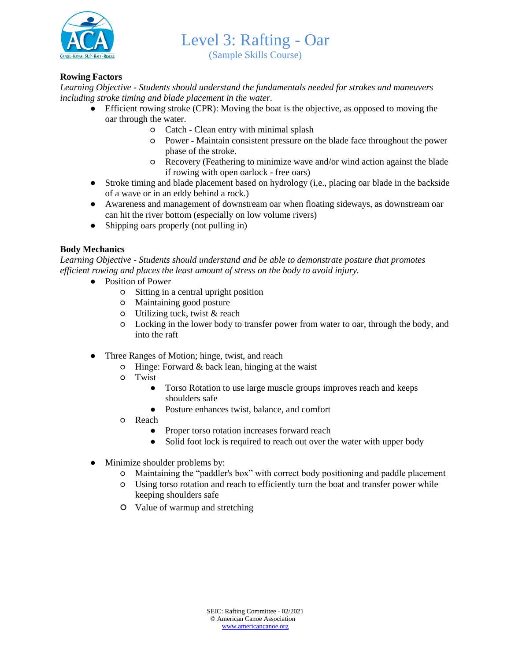

(Sample Skills Course)

## **Rowing Factors**

*Learning Objective - Students should understand the fundamentals needed for strokes and maneuvers including stroke timing and blade placement in the water.*

- Efficient rowing stroke (CPR): Moving the boat is the objective, as opposed to moving the oar through the water.
	- Catch Clean entry with minimal splash
	- Power Maintain consistent pressure on the blade face throughout the power phase of the stroke.
	- Recovery (Feathering to minimize wave and/or wind action against the blade if rowing with open oarlock - free oars)
- Stroke timing and blade placement based on hydrology (i,e., placing oar blade in the backside of a wave or in an eddy behind a rock.)
- Awareness and management of downstream oar when floating sideways, as downstream oar can hit the river bottom (especially on low volume rivers)
- Shipping oars properly (not pulling in)

## **Body Mechanics**

*Learning Objective - Students should understand and be able to demonstrate posture that promotes efficient rowing and places the least amount of stress on the body to avoid injury.*

- Position of Power
	- Sitting in a central upright position
	- Maintaining good posture
	- $\circ$  Utilizing tuck, twist & reach
	- Locking in the lower body to transfer power from water to oar, through the body, and into the raft
- Three Ranges of Motion; hinge, twist, and reach
	- $\circ$  Hinge: Forward & back lean, hinging at the waist
	- Twist
		- Torso Rotation to use large muscle groups improves reach and keeps shoulders safe
		- Posture enhances twist, balance, and comfort
	- Reach
		- Proper torso rotation increases forward reach
		- Solid foot lock is required to reach out over the water with upper body
- Minimize shoulder problems by:
	- Maintaining the "paddler's box" with correct body positioning and paddle placement
	- Using torso rotation and reach to efficiently turn the boat and transfer power while keeping shoulders safe
	- Value of warmup and stretching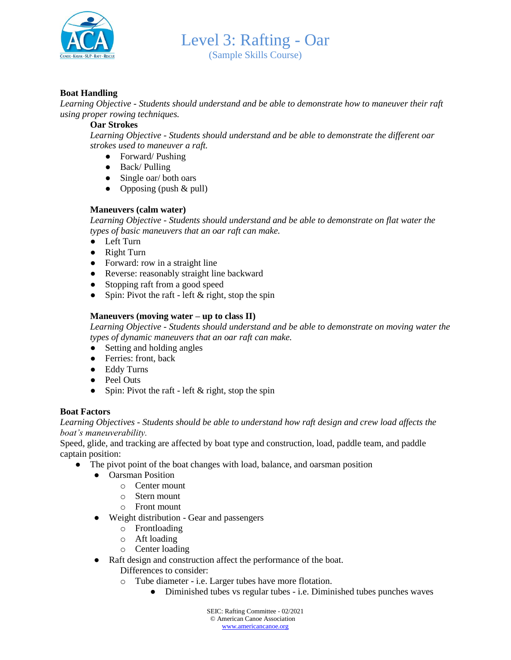

Level 3: Rafting - Oar (Sample Skills Course)

#### **Boat Handling**

*Learning Objective - Students should understand and be able to demonstrate how to maneuver their raft using proper rowing techniques.* 

#### **Oar Strokes**

*Learning Objective - Students should understand and be able to demonstrate the different oar strokes used to maneuver a raft.*

- Forward/ Pushing
- Back/ Pulling
- Single oar/ both oars
- Opposing (push  $&$  pull)

#### **Maneuvers (calm water)**

*Learning Objective - Students should understand and be able to demonstrate on flat water the types of basic maneuvers that an oar raft can make.* 

- Left Turn
- Right Turn
- Forward: row in a straight line
- Reverse: reasonably straight line backward
- Stopping raft from a good speed
- Spin: Pivot the raft left  $&$  right, stop the spin

#### **Maneuvers (moving water – up to class II)**

*Learning Objective - Students should understand and be able to demonstrate on moving water the types of dynamic maneuvers that an oar raft can make.* 

- Setting and holding angles
- Ferries: front, back
- Eddy Turns
- Peel Outs
- Spin: Pivot the raft left  $&$  right, stop the spin

#### **Boat Factors**

*Learning Objectives - Students should be able to understand how raft design and crew load affects the boat's maneuverability.*

Speed, glide, and tracking are affected by boat type and construction, load, paddle team, and paddle captain position:

- The pivot point of the boat changes with load, balance, and oarsman position
	- Oarsman Position
		- o Center mount
		- o Stern mount
		- o Front mount
	- Weight distribution Gear and passengers
		- o Frontloading
		- o Aft loading
		- o Center loading
	- Raft design and construction affect the performance of the boat.
		- Differences to consider:
		- o Tube diameter i.e. Larger tubes have more flotation.
			- Diminished tubes vs regular tubes i.e. Diminished tubes punches waves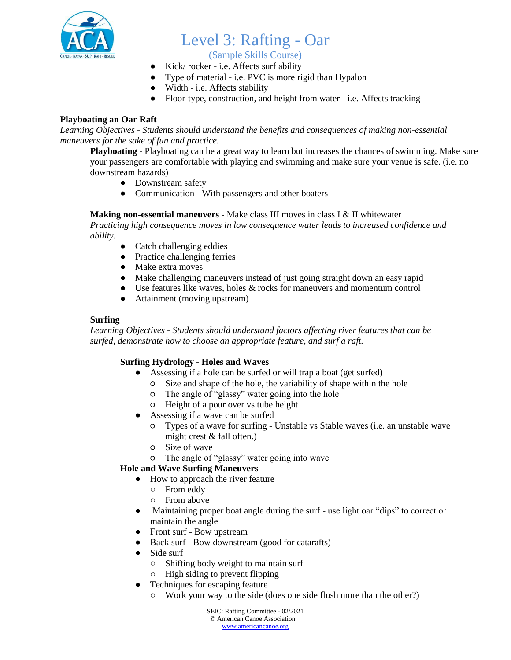

(Sample Skills Course)

- Kick/ rocker i.e. Affects surf ability
- Type of material i.e. PVC is more rigid than Hypalon
	- Width i.e. Affects stability
	- Floor-type, construction, and height from water i.e. Affects tracking

## **Playboating an Oar Raft**

*Learning Objectives - Students should understand the benefits and consequences of making non-essential maneuvers for the sake of fun and practice.* 

**Playboating** - Playboating can be a great way to learn but increases the chances of swimming. Make sure your passengers are comfortable with playing and swimming and make sure your venue is safe. (i.e. no downstream hazards)

- Downstream safety
- Communication With passengers and other boaters

#### **Making non-essential maneuvers** - Make class III moves in class I & II whitewater

*Practicing high consequence moves in low consequence water leads to increased confidence and ability.* 

- Catch challenging eddies
- Practice challenging ferries
- Make extra moves
- Make challenging maneuvers instead of just going straight down an easy rapid
- Use features like waves, holes & rocks for maneuvers and momentum control
- Attainment (moving upstream)

## **Surfing**

*Learning Objectives - Students should understand factors affecting river features that can be surfed, demonstrate how to choose an appropriate feature, and surf a raft.*

## **Surfing Hydrology - Holes and Waves**

- Assessing if a hole can be surfed or will trap a boat (get surfed)
	- Size and shape of the hole, the variability of shape within the hole
	- The angle of "glassy" water going into the hole
	- Height of a pour over vs tube height
- Assessing if a wave can be surfed
	- Types of a wave for surfing Unstable vs Stable waves (i.e. an unstable wave might crest & fall often.)
	- Size of wave
	- The angle of "glassy" water going into wave

## **Hole and Wave Surfing Maneuvers**

- How to approach the river feature
	- From eddy
	- From above
- Maintaining proper boat angle during the surf use light oar "dips" to correct or maintain the angle
- Front surf Bow upstream
- Back surf Bow downstream (good for catarafts)
- Side surf
	- Shifting body weight to maintain surf
	- High siding to prevent flipping
- Techniques for escaping feature
	- Work your way to the side (does one side flush more than the other?)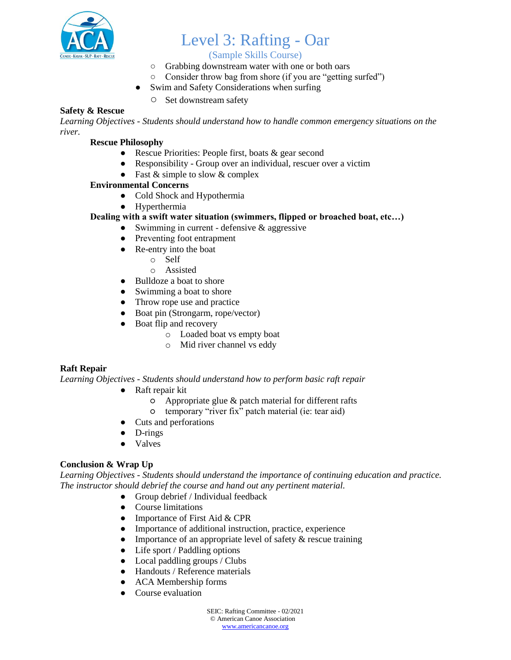

## (Sample Skills Course)

- Grabbing downstream water with one or both oars
- Consider throw bag from shore (if you are "getting surfed")
- Swim and Safety Considerations when surfing
	- Set downstream safety

## **Safety & Rescue**

*Learning Objectives - Students should understand how to handle common emergency situations on the river.* 

## **Rescue Philosophy**

- Rescue Priorities: People first, boats & gear second
- Responsibility Group over an individual, rescuer over a victim
- Fast  $&$  simple to slow  $&$  complex

## **Environmental Concerns**

- Cold Shock and Hypothermia
- Hyperthermia

## **Dealing with a swift water situation (swimmers, flipped or broached boat, etc…)**

- $\bullet$  Swimming in current defensive & aggressive
- Preventing foot entrapment
- Re-entry into the boat
	- o Self
	- o Assisted
- Bulldoze a boat to shore
- Swimming a boat to shore
- Throw rope use and practice
- Boat pin (Strongarm, rope/vector)
- Boat flip and recovery
	- o Loaded boat vs empty boat
	- o Mid river channel vs eddy

## **Raft Repair**

*Learning Objectives - Students should understand how to perform basic raft repair*

- Raft repair kit
	- $\circ$  Appropriate glue & patch material for different rafts
	- temporary "river fix" patch material (ie: tear aid)
- Cuts and perforations
- D-rings
- Valves

## **Conclusion & Wrap Up**

*Learning Objectives - Students should understand the importance of continuing education and practice. The instructor should debrief the course and hand out any pertinent material.* 

- Group debrief / Individual feedback
- Course limitations
- Importance of First Aid & CPR
- Importance of additional instruction, practice, experience
- Importance of an appropriate level of safety  $\&$  rescue training
- Life sport / Paddling options
- $\bullet$  Local paddling groups / Clubs
- Handouts / Reference materials
- ACA Membership forms
- Course evaluation